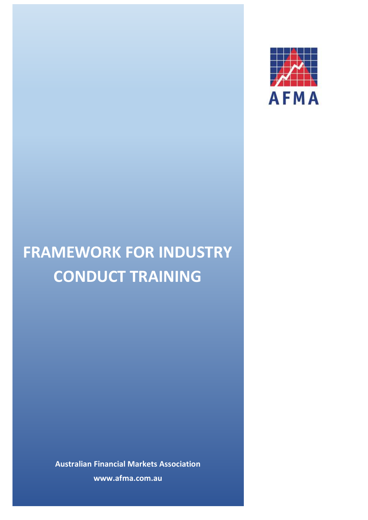

# **FRAMEWORK FOR INDUSTRY CONDUCT TRAINING**

**Australian Financial Markets Association www.afma.com.au**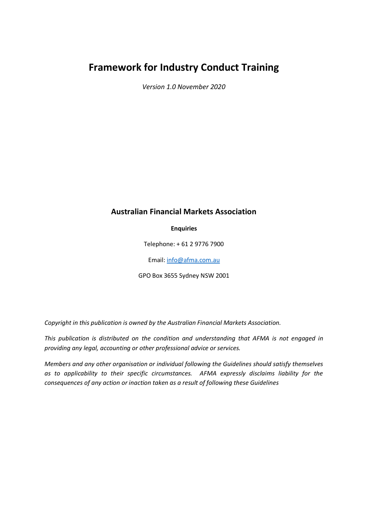## **Framework for Industry Conduct Training**

*Version 1.0 November 2020*

## **Australian Financial Markets Association**

**Enquiries**

Telephone: + 61 2 9776 7900

Email[: info@afma.com.au](mailto:info@afma.com.au)

GPO Box 3655 Sydney NSW 2001

*Copyright in this publication is owned by the Australian Financial Markets Association.*

*This publication is distributed on the condition and understanding that AFMA is not engaged in providing any legal, accounting or other professional advice or services.*

*Members and any other organisation or individual following the Guidelines should satisfy themselves as to applicability to their specific circumstances. AFMA expressly disclaims liability for the consequences of any action or inaction taken as a result of following these Guidelines*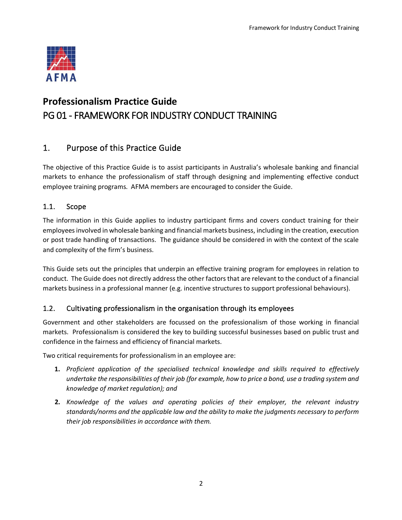

# **Professionalism Practice Guide** PG 01 - FRAMEWORK FOR INDUSTRY CONDUCT TRAINING

## 1. Purpose of this Practice Guide

The objective of this Practice Guide is to assist participants in Australia's wholesale banking and financial markets to enhance the professionalism of staff through designing and implementing effective conduct employee training programs. AFMA members are encouraged to consider the Guide.

## 1.1. Scope

The information in this Guide applies to industry participant firms and covers conduct training for their employees involved in wholesale banking and financial markets business, including in the creation, execution or post trade handling of transactions. The guidance should be considered in with the context of the scale and complexity of the firm's business.

This Guide sets out the principles that underpin an effective training program for employees in relation to conduct. The Guide does not directly address the other factors that are relevant to the conduct of a financial markets business in a professional manner (e.g. incentive structures to support professional behaviours).

## 1.2. Cultivating professionalism in the organisation through its employees

Government and other stakeholders are focussed on the professionalism of those working in financial markets. Professionalism is considered the key to building successful businesses based on public trust and confidence in the fairness and efficiency of financial markets.

Two critical requirements for professionalism in an employee are:

- **1.** *Proficient application of the specialised technical knowledge and skills required to effectively undertake the responsibilities of their job (for example, how to price a bond, use a trading system and knowledge of market regulation); and*
- **2.** *Knowledge of the values and operating policies of their employer, the relevant industry standards/norms and the applicable law and the ability to make the judgments necessary to perform their job responsibilities in accordance with them.*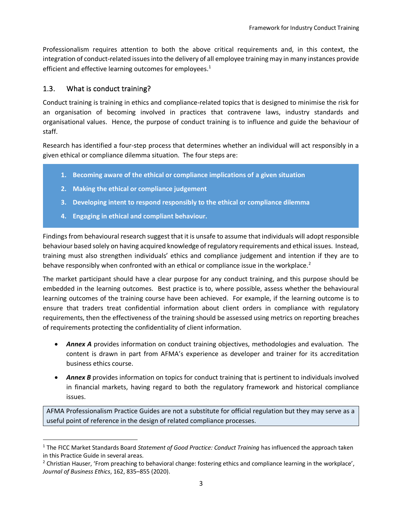Professionalism requires attention to both the above critical requirements and, in this context, the integration of conduct-related issues into the delivery of all employee training may in many instances provide efficient and effective learning outcomes for employees. $1$ 

#### 1.3. What is conduct training?

Conduct training is training in ethics and compliance-related topics that is designed to minimise the risk for an organisation of becoming involved in practices that contravene laws, industry standards and organisational values. Hence, the purpose of conduct training is to influence and guide the behaviour of staff.

Research has identified a four-step process that determines whether an individual will act responsibly in a given ethical or compliance dilemma situation. The four steps are:

- **1. Becoming aware of the ethical or compliance implications of a given situation**
- **2. Making the ethical or compliance judgement**
- **3. Developing intent to respond responsibly to the ethical or compliance dilemma**
- **4. Engaging in ethical and compliant behaviour.**

Findings from behavioural research suggest that it is unsafe to assume that individuals will adopt responsible behaviour based solely on having acquired knowledge of regulatory requirements and ethical issues. Instead, training must also strengthen individuals' ethics and compliance judgement and intention if they are to behave responsibly when confronted with an ethical or compliance issue in the workplace.<sup>2</sup>

The market participant should have a clear purpose for any conduct training, and this purpose should be embedded in the learning outcomes. Best practice is to, where possible, assess whether the behavioural learning outcomes of the training course have been achieved. For example, if the learning outcome is to ensure that traders treat confidential information about client orders in compliance with regulatory requirements, then the effectiveness of the training should be assessed using metrics on reporting breaches of requirements protecting the confidentiality of client information.

- *Annex A* provides information on conduct training objectives, methodologies and evaluation. The content is drawn in part from AFMA's experience as developer and trainer for its accreditation business ethics course.
- *Annex B* provides information on topics for conduct training that is pertinent to individuals involved in financial markets, having regard to both the regulatory framework and historical compliance issues.

AFMA Professionalism Practice Guides are not a substitute for official regulation but they may serve as a useful point of reference in the design of related compliance processes.

<sup>1</sup> The FICC Market Standards Board *Statement of Good Practice: Conduct Training* has influenced the approach taken in this Practice Guide in several areas.

<sup>&</sup>lt;sup>2</sup> Christian Hauser, 'From preaching to behavioral change: fostering ethics and compliance learning in the workplace', *Journal of Business Ethics*, 162, 835–855 (2020).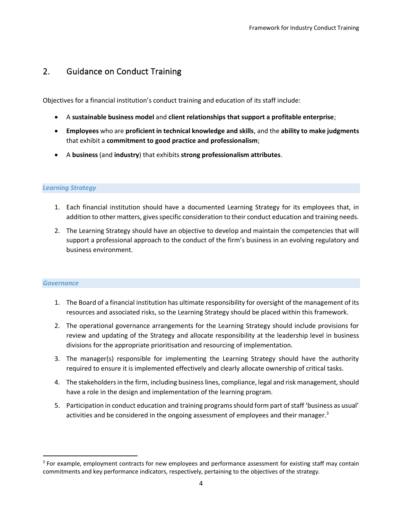## 2. Guidance on Conduct Training

Objectives for a financial institution's conduct training and education of its staff include:

- A **sustainable business model** and **client relationships that support a profitable enterprise**;
- **Employees** who are **proficient in technical knowledge and skills**, and the **ability to make judgments** that exhibit a **commitment to good practice and professionalism**;
- A **business** (and **industry**) that exhibits **strong professionalism attributes**.

#### *Learning Strategy*

- 1. Each financial institution should have a documented Learning Strategy for its employees that, in addition to other matters, gives specific consideration to their conduct education and training needs.
- 2. The Learning Strategy should have an objective to develop and maintain the competencies that will support a professional approach to the conduct of the firm's business in an evolving regulatory and business environment.

#### *Governance*

- 1. The Board of a financial institution has ultimate responsibility for oversight of the management of its resources and associated risks, so the Learning Strategy should be placed within this framework.
- 2. The operational governance arrangements for the Learning Strategy should include provisions for review and updating of the Strategy and allocate responsibility at the leadership level in business divisions for the appropriate prioritisation and resourcing of implementation.
- 3. The manager(s) responsible for implementing the Learning Strategy should have the authority required to ensure it is implemented effectively and clearly allocate ownership of critical tasks.
- 4. The stakeholders in the firm, including business lines, compliance, legal and risk management, should have a role in the design and implementation of the learning program.
- 5. Participation in conduct education and training programs should form part of staff 'business as usual' activities and be considered in the ongoing assessment of employees and their manager.<sup>3</sup>

<sup>&</sup>lt;sup>3</sup> For example, employment contracts for new employees and performance assessment for existing staff may contain commitments and key performance indicators, respectively, pertaining to the objectives of the strategy.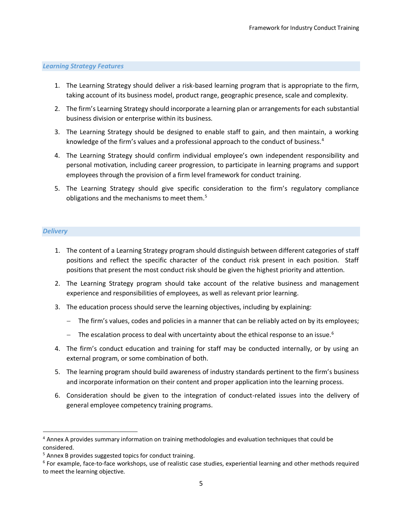#### *Learning Strategy Features*

- 1. The Learning Strategy should deliver a risk-based learning program that is appropriate to the firm, taking account of its business model, product range, geographic presence, scale and complexity.
- 2. The firm's Learning Strategy should incorporate a learning plan or arrangements for each substantial business division or enterprise within its business.
- 3. The Learning Strategy should be designed to enable staff to gain, and then maintain, a working knowledge of the firm's values and a professional approach to the conduct of business.<sup>4</sup>
- 4. The Learning Strategy should confirm individual employee's own independent responsibility and personal motivation, including career progression, to participate in learning programs and support employees through the provision of a firm level framework for conduct training.
- 5. The Learning Strategy should give specific consideration to the firm's regulatory compliance obligations and the mechanisms to meet them.<sup>5</sup>

#### *Delivery*

- 1. The content of a Learning Strategy program should distinguish between different categories of staff positions and reflect the specific character of the conduct risk present in each position. Staff positions that present the most conduct risk should be given the highest priority and attention.
- 2. The Learning Strategy program should take account of the relative business and management experience and responsibilities of employees, as well as relevant prior learning.
- 3. The education process should serve the learning objectives, including by explaining:
	- − The firm's values, codes and policies in a manner that can be reliably acted on by its employees;
	- $-$  The escalation process to deal with uncertainty about the ethical response to an issue.<sup>6</sup>
- 4. The firm's conduct education and training for staff may be conducted internally, or by using an external program, or some combination of both.
- 5. The learning program should build awareness of industry standards pertinent to the firm's business and incorporate information on their content and proper application into the learning process.
- 6. Consideration should be given to the integration of conduct-related issues into the delivery of general employee competency training programs.

<sup>&</sup>lt;sup>4</sup> Annex A provides summary information on training methodologies and evaluation techniques that could be considered.

 $5$  Annex B provides suggested topics for conduct training.

<sup>&</sup>lt;sup>6</sup> For example, face-to-face workshops, use of realistic case studies, experiential learning and other methods required to meet the learning objective.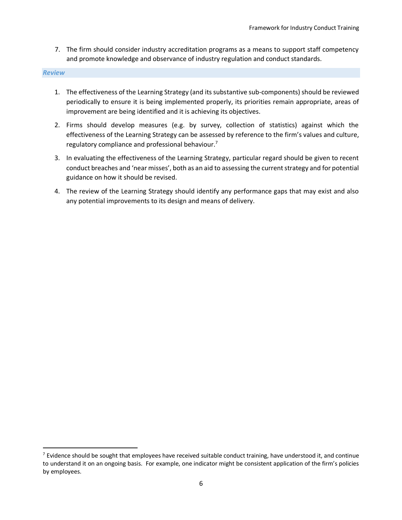7. The firm should consider industry accreditation programs as a means to support staff competency and promote knowledge and observance of industry regulation and conduct standards.

*Review*

- 1. The effectiveness of the Learning Strategy (and its substantive sub-components) should be reviewed periodically to ensure it is being implemented properly, its priorities remain appropriate, areas of improvement are being identified and it is achieving its objectives.
- 2. Firms should develop measures (e.g. by survey, collection of statistics) against which the effectiveness of the Learning Strategy can be assessed by reference to the firm's values and culture, regulatory compliance and professional behaviour.<sup>7</sup>
- 3. In evaluating the effectiveness of the Learning Strategy, particular regard should be given to recent conduct breaches and 'near misses', both as an aid to assessing the current strategy and for potential guidance on how it should be revised.
- 4. The review of the Learning Strategy should identify any performance gaps that may exist and also any potential improvements to its design and means of delivery.

 $<sup>7</sup>$  Evidence should be sought that employees have received suitable conduct training, have understood it, and continue</sup> to understand it on an ongoing basis. For example, one indicator might be consistent application of the firm's policies by employees.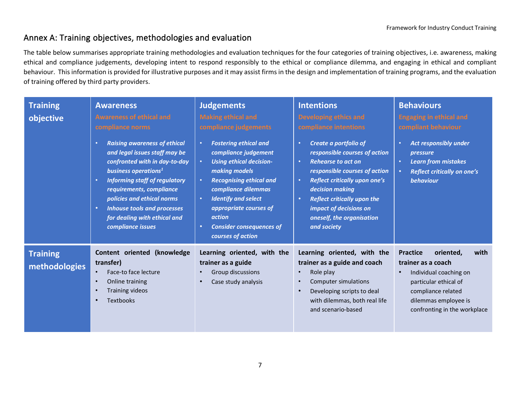## Annex A: Training objectives, methodologies and evaluation

The table below summarises appropriate training methodologies and evaluation techniques for the four categories of training objectives, i.e. awareness, making ethical and compliance judgements, developing intent to respond responsibly to the ethical or compliance dilemma, and engaging in ethical and compliant behaviour. This information is provided for illustrative purposes and it may assist firms in the design and implementation of training programs, and the evaluation of training offered by third party providers.

| <b>Training</b><br>objective     | <b>Awareness</b><br><b>Awareness of ethical and</b><br>compliance norms<br><b>Raising awareness of ethical</b><br>$\bullet$<br>and legal issues staff may be<br>confronted with in day-to-day<br>business operations <sup>1</sup><br><b>Informing staff of regulatory</b><br>$\bullet$<br>requirements, compliance<br>policies and ethical norms<br><b>Inhouse tools and processes</b><br>$\bullet$<br>for dealing with ethical and<br>compliance issues | <b>Judgements</b><br><b>Making ethical and</b><br>compliance judgements<br><b>Fostering ethical and</b><br>$\bullet$<br>compliance judgement<br><b>Using ethical decision-</b><br>$\bullet$<br>making models<br>$\bullet$<br><b>Recognising ethical and</b><br>compliance dilemmas<br><b>Identify and select</b><br>$\bullet$<br>appropriate courses of<br>action<br><b>Consider consequences of</b><br>$\bullet$<br>courses of action | <b>Intentions</b><br>Developing ethics and<br>compliance intentions<br>Create a portfolio of<br>responsible courses of action<br><b>Rehearse to act on</b><br>$\bullet$<br>responsible courses of action<br><b>Reflect critically upon one's</b><br>$\bullet$<br>decision making<br><b>Reflect critically upon the</b><br>$\bullet$<br>impact of decisions on<br>oneself, the organisation<br>and society | <b>Behaviours</b><br><b>Engaging in ethical and</b><br>compliant behaviour<br><b>Act responsibly under</b><br>pressure<br><b>Learn from mistakes</b><br>$\bullet$<br><b>Reflect critically on one's</b><br>behaviour |
|----------------------------------|----------------------------------------------------------------------------------------------------------------------------------------------------------------------------------------------------------------------------------------------------------------------------------------------------------------------------------------------------------------------------------------------------------------------------------------------------------|----------------------------------------------------------------------------------------------------------------------------------------------------------------------------------------------------------------------------------------------------------------------------------------------------------------------------------------------------------------------------------------------------------------------------------------|-----------------------------------------------------------------------------------------------------------------------------------------------------------------------------------------------------------------------------------------------------------------------------------------------------------------------------------------------------------------------------------------------------------|----------------------------------------------------------------------------------------------------------------------------------------------------------------------------------------------------------------------|
| <b>Training</b><br>methodologies | (knowledge<br>Content oriented<br>transfer)<br>Face-to face lecture<br>Online training<br>$\bullet$<br><b>Training videos</b><br>$\bullet$<br><b>Textbooks</b><br>$\bullet$                                                                                                                                                                                                                                                                              | Learning oriented, with the<br>trainer as a guide<br>Group discussions<br>Case study analysis<br>$\bullet$                                                                                                                                                                                                                                                                                                                             | Learning oriented, with the<br>trainer as a guide and coach<br>Role play<br>Computer simulations<br>Developing scripts to deal<br>with dilemmas, both real life<br>and scenario-based                                                                                                                                                                                                                     | <b>Practice</b><br>oriented,<br>with<br>trainer as a coach<br>Individual coaching on<br>particular ethical of<br>compliance related<br>dilemmas employee is<br>confronting in the workplace                          |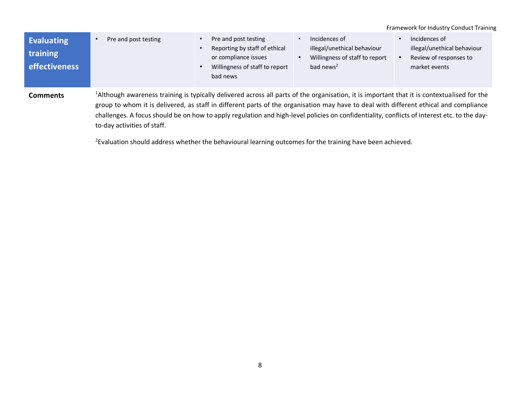|                                                       |                                                                                                                                                                                                                                                                                                                                                                                                                                                                                |                                                                                                                             |                                                                                                         | Framework for Industry Conduct Training                                                 |  |
|-------------------------------------------------------|--------------------------------------------------------------------------------------------------------------------------------------------------------------------------------------------------------------------------------------------------------------------------------------------------------------------------------------------------------------------------------------------------------------------------------------------------------------------------------|-----------------------------------------------------------------------------------------------------------------------------|---------------------------------------------------------------------------------------------------------|-----------------------------------------------------------------------------------------|--|
| <b>Evaluating</b><br><b>training</b><br>effectiveness | Pre and post testing                                                                                                                                                                                                                                                                                                                                                                                                                                                           | Pre and post testing<br>Reporting by staff of ethical<br>or compliance issues<br>Willingness of staff to report<br>bad news | Incidences of<br>illegal/unethical behaviour<br>Willingness of staff to report<br>bad news <sup>2</sup> | Incidences of<br>illegal/unethical behaviour<br>Review of responses to<br>market events |  |
| Comments                                              | <sup>1</sup> Although awareness training is typically delivered across all parts of the organisation, it is important that it is contextualised for the<br>group to whom it is delivered, as staff in different parts of the organisation may have to deal with different ethical and compliance<br>challenges. A focus should be on how to apply regulation and high-level policies on confidentiality, conflicts of interest etc. to the day-<br>to-day activities of staff. |                                                                                                                             |                                                                                                         |                                                                                         |  |

<sup>2</sup>Evaluation should address whether the behavioural learning outcomes for the training have been achieved.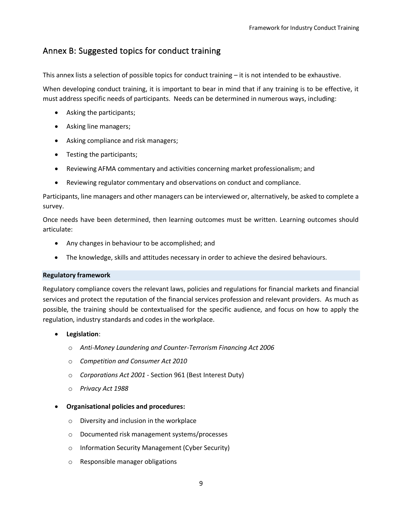## Annex B: Suggested topics for conduct training

This annex lists a selection of possible topics for conduct training – it is not intended to be exhaustive.

When developing conduct training, it is important to bear in mind that if any training is to be effective, it must address specific needs of participants. Needs can be determined in numerous ways, including:

- Asking the participants;
- Asking line managers;
- Asking compliance and risk managers;
- Testing the participants;
- Reviewing AFMA commentary and activities concerning market professionalism; and
- Reviewing regulator commentary and observations on conduct and compliance.

Participants, line managers and other managers can be interviewed or, alternatively, be asked to complete a survey.

Once needs have been determined, then learning outcomes must be written. Learning outcomes should articulate:

- Any changes in behaviour to be accomplished; and
- The knowledge, skills and attitudes necessary in order to achieve the desired behaviours.

#### **Regulatory framework**

Regulatory compliance covers the relevant laws, policies and regulations for financial markets and financial services and protect the reputation of the financial services profession and relevant providers. As much as possible, the training should be contextualised for the specific audience, and focus on how to apply the regulation, industry standards and codes in the workplace.

- **Legislation**:
	- o *Anti-Money Laundering and Counter-Terrorism Financing Act 2006*
	- o *Competition and Consumer Act 2010*
	- o *Corporations Act 2001 -* Section 961 (Best Interest Duty)
	- o *Privacy Act 1988*

#### • **Organisational policies and procedures:**

- o Diversity and inclusion in the workplace
- o Documented risk management systems/processes
- o Information Security Management (Cyber Security)
- o Responsible manager obligations